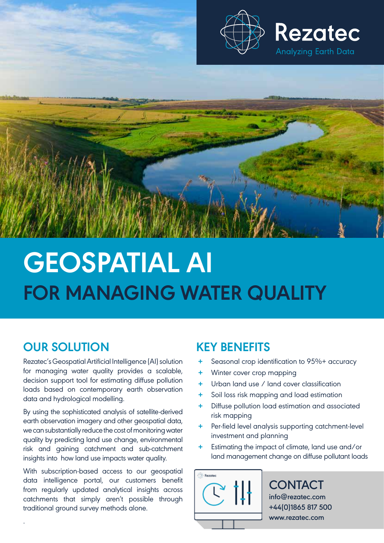



# **OUR SOLUTION**

.

Rezatec's Geospatial Artificial Intelligence (AI) solution for managing water quality provides a scalable, decision support tool for estimating diffuse pollution loads based on contemporary earth observation data and hydrological modelling.

By using the sophisticated analysis of satellite-derived earth observation imagery and other geospatial data, we can substantially reduce the cost of monitoring water quality by predicting land use change, environmental risk and gaining catchment and sub-catchment insights into how land use impacts water quality.

With subscription-based access to our geospatial data intelligence portal, our customers benefit from regularly updated analytical insights across catchments that simply aren't possible through traditional ground survey methods alone.

## **KEY BENEFITS**

- **+** Seasonal crop identification to 95%+ accuracy
- **+** Winter cover crop mapping
- **+** Urban land use / land cover classification
- **+** Soil loss risk mapping and load estimation
- **+** Diffuse pollution load estimation and associated risk mapping
- **+** Per-field level analysis supporting catchment-level investment and planning
- **+** Estimating the impact of climate, land use and/or land management change on diffuse pollutant loads



#### **CONTACT info@rezatec.com +44(0)1865 817 500 www.rezatec.com**